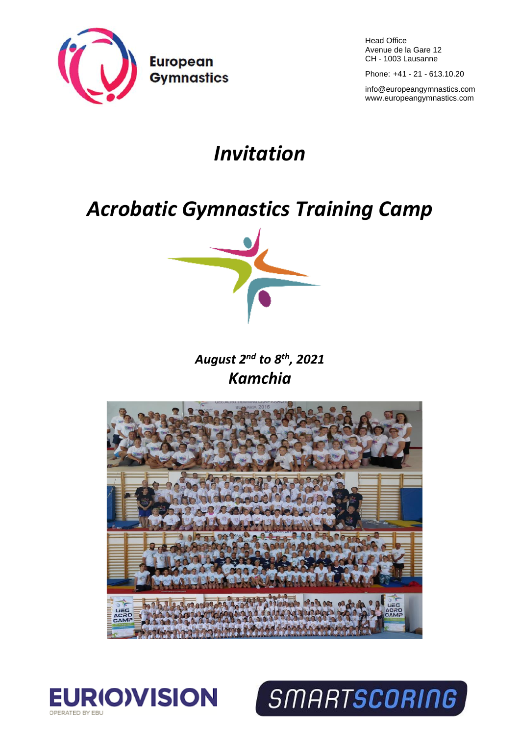

Head Office Avenue de la Gare 12 CH - 1003 Lausanne

Phone: +41 - 21 - 613.10.20

[info@europeangymnastics.com](mailto:info@europeangymnastics.com) [www.europeangymnastics.com](http://www.europeangymnastics.com/)

# *Invitation*

# *Acrobatic Gymnastics Training Camp*



# *August 2 nd to 8th, 2021 Kamchia*



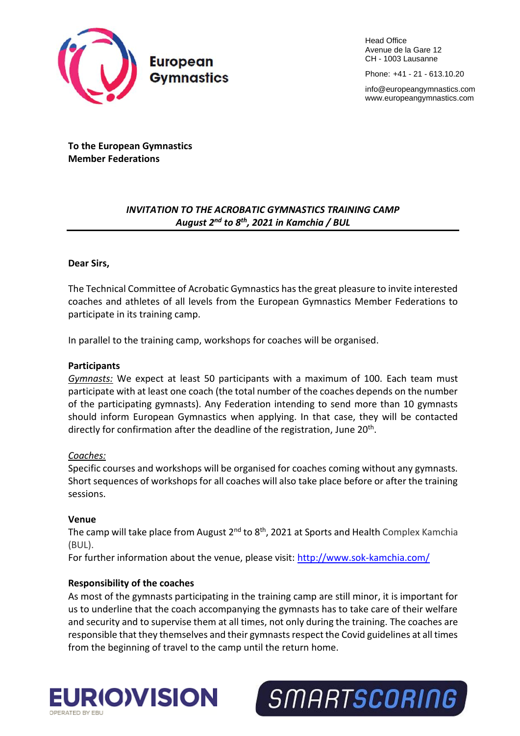

Head Office Avenue de la Gare 12 CH - 1003 Lausanne

Phone: +41 - 21 - 613.10.20

[info@europeangymnastics.com](mailto:info@europeangymnastics.com) [www.europeangymnastics.com](http://www.europeangymnastics.com/)

**To the European Gymnastics Member Federations**

# *INVITATION TO THE ACROBATIC GYMNASTICS TRAINING CAMP August 2 nd to 8th, 2021 in Kamchia / BUL*

# **Dear Sirs,**

The Technical Committee of Acrobatic Gymnastics has the great pleasure to invite interested coaches and athletes of all levels from the European Gymnastics Member Federations to participate in its training camp.

In parallel to the training camp, workshops for coaches will be organised.

# **Participants**

*Gymnasts:* We expect at least 50 participants with a maximum of 100. Each team must participate with at least one coach (the total number of the coaches depends on the number of the participating gymnasts). Any Federation intending to send more than 10 gymnasts should inform European Gymnastics when applying. In that case, they will be contacted directly for confirmation after the deadline of the registration, June 20<sup>th</sup>.

# *Coaches:*

Specific courses and workshops will be organised for coaches coming without any gymnasts. Short sequences of workshops for all coaches will also take place before or after the training sessions.

# **Venue**

The camp will take place from August 2<sup>nd</sup> to 8<sup>th</sup>, 2021 at Sports and Health Complex Kamchia (BUL).

For further information about the venue, please visit:<http://www.sok-kamchia.com/>

# **Responsibility of the coaches**

As most of the gymnasts participating in the training camp are still minor, it is important for us to underline that the coach accompanying the gymnasts has to take care of their welfare and security and to supervise them at all times, not only during the training. The coaches are responsible that they themselves and their gymnasts respect the Covid guidelines at all times from the beginning of travel to the camp until the return home.



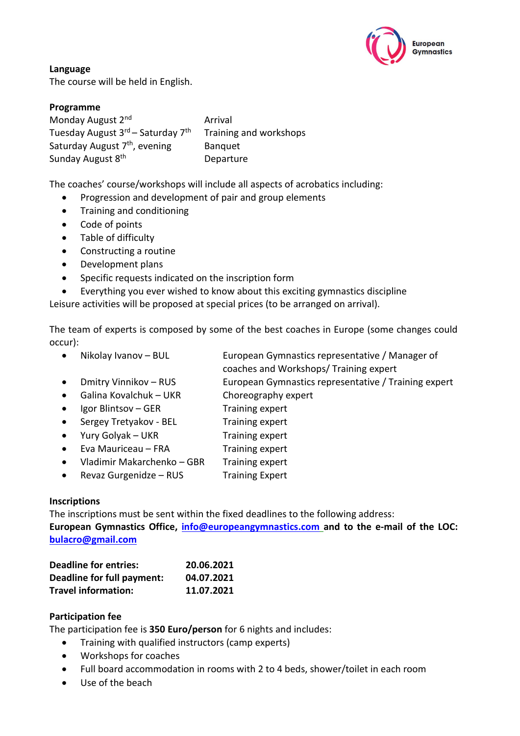

**Language** The course will be held in English.

# **Programme**

Monday August 2nd Arrival Tuesday August 3rd - Saturday 7th Training and workshops Saturday August 7<sup>th</sup>, evening Banquet Sunday August 8<sup>th</sup> Departure

The coaches' course/workshops will include all aspects of acrobatics including:

- Progression and development of pair and group elements
- Training and conditioning
- Code of points
- Table of difficulty
- Constructing a routine
- Development plans
- Specific requests indicated on the inscription form
- Everything you ever wished to know about this exciting gymnastics discipline

Leisure activities will be proposed at special prices (to be arranged on arrival).

The team of experts is composed by some of the best coaches in Europe (some changes could occur):

- Nikolay Ivanov BUL European Gymnastics representative / Manager of
	- coaches and Workshops/ Training expert
- Dmitry Vinnikov RUS European Gymnastics representative / Training expert
- Galina Kovalchuk UKR Choreography expert
- Igor Blintsov GER Training expert
- Sergey Tretyakov BEL Training expert
- Yury Golyak UKR Training expert
- Eva Mauriceau FRA Training expert
- Vladimir Makarchenko GBR Training expert
- Revaz Gurgenidze RUS Training Expert

# **Inscriptions**

The inscriptions must be sent within the fixed deadlines to the following address: **European Gymnastics Office, [info@europeangymnastics.com](mailto:info@europeangymnastics.com) and to the e-mail of the LOC: [bulacro@gmail.com](file:///C:/Users/cturner/AppData/Local/Microsoft/Windows/INetCache/Content.Outlook/WQUV3FDR/bulacro@gmail.com)**

| <b>Deadline for entries:</b> | 20.06.2021 |
|------------------------------|------------|
| Deadline for full payment:   | 04.07.2021 |
| <b>Travel information:</b>   | 11.07.2021 |

# **Participation fee**

The participation fee is **350 Euro/person** for 6 nights and includes:

- Training with qualified instructors (camp experts)
- Workshops for coaches
- Full board accommodation in rooms with 2 to 4 beds, shower/toilet in each room
- Use of the beach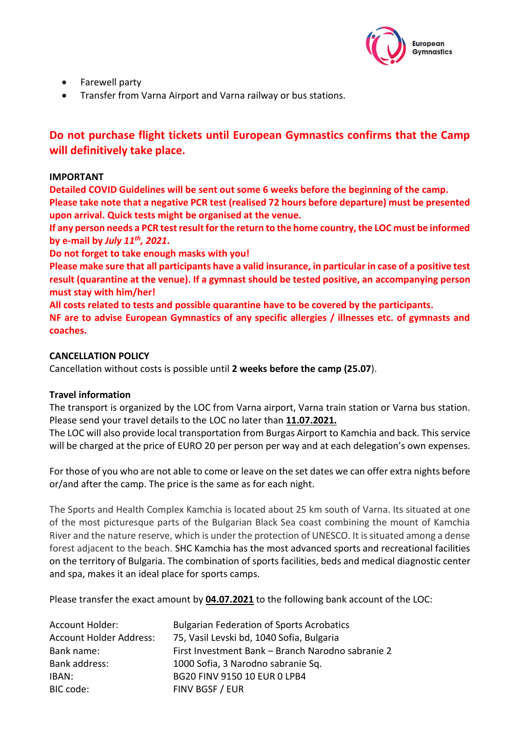

- Farewell party
- Transfer from Varna Airport and Varna railway or bus stations.

# **Do not purchase flight tickets until European Gymnastics confirms that the Camp will definitively take place.**

# **IMPORTANT**

**Detailed COVID Guidelines will be sent out some 6 weeks before the beginning of the camp. Please take note that a negative PCR test (realised 72 hours before departure) must be presented upon arrival. Quick tests might be organised at the venue.** 

**If any person needs a PCR test result for the return to the home country, the LOC must be informed by e-mail by** *July 11th, 2021***.**

**Do not forget to take enough masks with you!**

**Please make sure that all participants have a valid insurance, in particular in case of a positive test result (quarantine at the venue). If a gymnast should be tested positive, an accompanying person must stay with him/her!** 

**All costs related to tests and possible quarantine have to be covered by the participants.**

**NF are to advise European Gymnastics of any specific allergies / illnesses etc. of gymnasts and coaches.**

# **CANCELLATION POLICY**

Cancellation without costs is possible until **2 weeks before the camp (25.07**).

# **Travel information**

The transport is organized by the LOC from Varna airport, Varna train station or Varna bus station. Please send your travel details to the LOC no later than **11.07.2021.**

The LOC will also provide local transportation from Burgas Airport to Kamchia and back. This service will be charged at the price of EURO 20 per person per way and at each delegation's own expenses.

For those of you who are not able to come or leave on the set dates we can offer extra nights before or/and after the camp. The price is the same as for each night.

The Sports and Health Complex Kamchia is located about 25 km south of Varna. Its situated at one of the most picturesque parts of the Bulgarian Black Sea coast combining the mount of Kamchia River and the nature reserve, which is under the protection of UNESCO. It is situated among a dense forest adjacent to the beach. SHC Kamchia has the most advanced sports and recreational facilities on the territory of Bulgaria. The combination of sports facilities, beds and medical diagnostic center and spa, makes it an ideal place for sports camps.

Please transfer the exact amount by **04.07.2021** to the following bank account of the LOC:

| <b>Account Holder:</b>         | <b>Bulgarian Federation of Sports Acrobatics</b>  |
|--------------------------------|---------------------------------------------------|
| <b>Account Holder Address:</b> | 75, Vasil Levski bd, 1040 Sofia, Bulgaria         |
| Bank name:                     | First Investment Bank - Branch Narodno sabranie 2 |
| Bank address:                  | 1000 Sofia, 3 Narodno sabranie Sq.                |
| IBAN:                          | BG20 FINV 9150 10 EUR 0 LPB4                      |
| BIC code:                      | FINV BGSF / EUR                                   |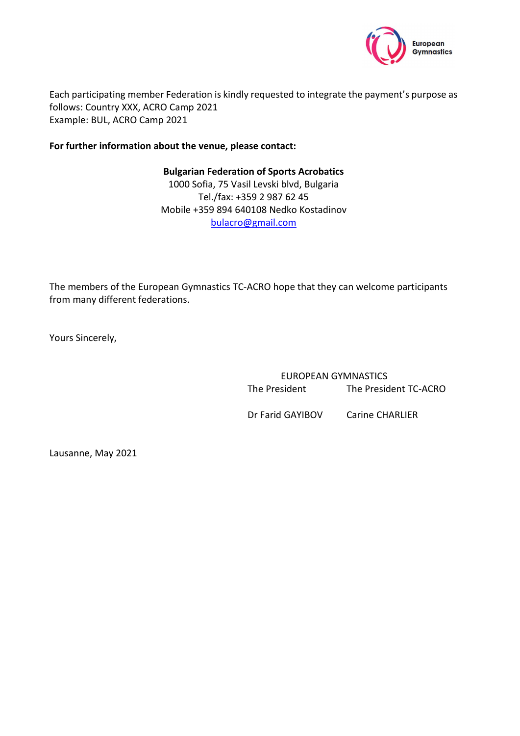

Each participating member Federation is kindly requested to integrate the payment's purpose as follows: Country XXX, ACRO Camp 2021 Example: BUL, ACRO Camp 2021

# **For further information about the venue, please contact:**

**Bulgarian Federation of Sports Acrobatics** 1000 Sofia, 75 Vasil Levski blvd, Bulgaria Tel./fax: +359 2 987 62 45 Mobile +359 894 640108 Nedko Kostadinov [bulacro@gmail.com](file:///C:/Users/cturner/AppData/Local/Microsoft/Windows/INetCache/Content.Outlook/WQUV3FDR/bulacro@gmail.com)

The members of the European Gymnastics TC-ACRO hope that they can welcome participants from many different federations.

Yours Sincerely,

EUROPEAN GYMNASTICS The President The President TC-ACRO

Dr Farid GAYIBOV Carine CHARLIER

Lausanne, May 2021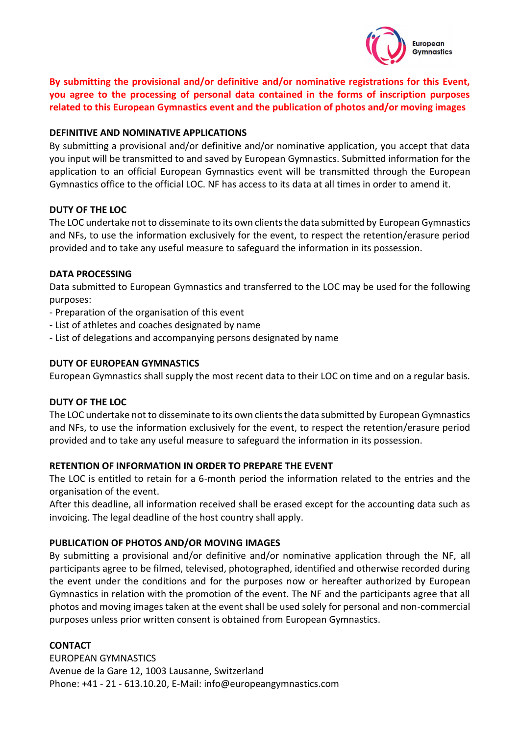

**By submitting the provisional and/or definitive and/or nominative registrations for this Event, you agree to the processing of personal data contained in the forms of inscription purposes related to this European Gymnastics event and the publication of photos and/or moving images** 

# **DEFINITIVE AND NOMINATIVE APPLICATIONS**

By submitting a provisional and/or definitive and/or nominative application, you accept that data you input will be transmitted to and saved by European Gymnastics. Submitted information for the application to an official European Gymnastics event will be transmitted through the European Gymnastics office to the official LOC. NF has access to its data at all times in order to amend it.

# **DUTY OF THE LOC**

The LOC undertake not to disseminate to its own clients the data submitted by European Gymnastics and NFs, to use the information exclusively for the event, to respect the retention/erasure period provided and to take any useful measure to safeguard the information in its possession.

# **DATA PROCESSING**

Data submitted to European Gymnastics and transferred to the LOC may be used for the following purposes:

- Preparation of the organisation of this event
- List of athletes and coaches designated by name
- List of delegations and accompanying persons designated by name

# **DUTY OF EUROPEAN GYMNASTICS**

European Gymnastics shall supply the most recent data to their LOC on time and on a regular basis.

# **DUTY OF THE LOC**

The LOC undertake not to disseminate to its own clients the data submitted by European Gymnastics and NFs, to use the information exclusively for the event, to respect the retention/erasure period provided and to take any useful measure to safeguard the information in its possession.

# **RETENTION OF INFORMATION IN ORDER TO PREPARE THE EVENT**

The LOC is entitled to retain for a 6-month period the information related to the entries and the organisation of the event.

After this deadline, all information received shall be erased except for the accounting data such as invoicing. The legal deadline of the host country shall apply.

# **PUBLICATION OF PHOTOS AND/OR MOVING IMAGES**

By submitting a provisional and/or definitive and/or nominative application through the NF, all participants agree to be filmed, televised, photographed, identified and otherwise recorded during the event under the conditions and for the purposes now or hereafter authorized by European Gymnastics in relation with the promotion of the event. The NF and the participants agree that all photos and moving images taken at the event shall be used solely for personal and non-commercial purposes unless prior written consent is obtained from European Gymnastics.

# **CONTACT**

EUROPEAN GYMNASTICS Avenue de la Gare 12, 1003 Lausanne, Switzerland Phone: +41 - 21 - 613.10.20, E-Mail: info@europeangymnastics.com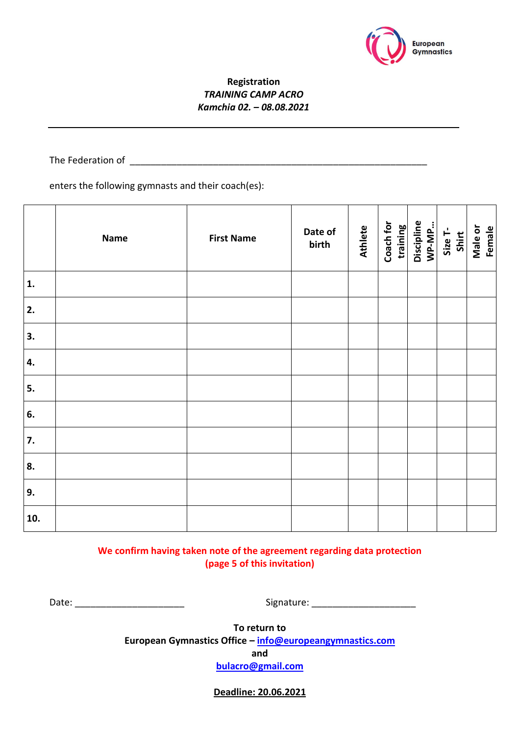

# **Registration**  *TRAINING CAMP ACRO Kamchia 02. – 08.08.2021*

The Federation of \_\_\_\_\_\_\_\_\_\_\_\_\_\_\_\_\_\_\_\_\_\_\_\_\_\_\_\_\_\_\_\_\_\_\_\_\_\_\_\_\_\_\_\_\_\_\_\_\_\_\_\_\_\_\_\_\_

enters the following gymnasts and their coach(es):

|                | <b>Name</b> | <b>First Name</b> | Date of<br>birth | <b>Athlete</b> | Coach for<br>training<br>Discipline<br>WP-MP<br>Shirt<br>Shirt |  | Male or<br>Female |
|----------------|-------------|-------------------|------------------|----------------|----------------------------------------------------------------|--|-------------------|
| $\mathbf{1}$ . |             |                   |                  |                |                                                                |  |                   |
| 2.             |             |                   |                  |                |                                                                |  |                   |
| 3.             |             |                   |                  |                |                                                                |  |                   |
| 4.             |             |                   |                  |                |                                                                |  |                   |
| 5.             |             |                   |                  |                |                                                                |  |                   |
| 6.             |             |                   |                  |                |                                                                |  |                   |
| 7.             |             |                   |                  |                |                                                                |  |                   |
| 8.             |             |                   |                  |                |                                                                |  |                   |
| 9.             |             |                   |                  |                |                                                                |  |                   |
| 10.            |             |                   |                  |                |                                                                |  |                   |

**We confirm having taken note of the agreement regarding data protection (page 5 of this invitation)**

Date: \_\_\_\_\_\_\_\_\_\_\_\_\_\_\_\_\_\_\_\_\_ Signature: \_\_\_\_\_\_\_\_\_\_\_\_\_\_\_\_\_\_\_\_

**To return to European Gymnastics Office – [info@europeangymnastics.com](mailto:info@europeangymnastics.com)**

**and**

**[bulacro@gmail.com](file:///C:/Users/cturner/AppData/Local/Microsoft/Windows/INetCache/Content.Outlook/WQUV3FDR/bulacro@gmail.com)**

**Deadline: 20.06.2021**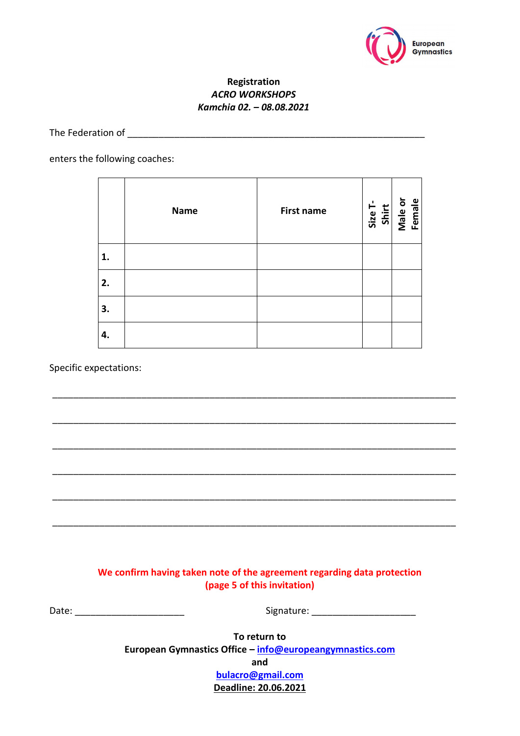

# **Registration**  *ACRO WORKSHOPS Kamchia 02. – 08.08.2021*

# The Federation of \_\_\_\_\_\_\_\_\_\_\_\_\_\_\_\_\_\_\_\_\_\_\_\_\_\_\_\_\_\_\_\_\_\_\_\_\_\_\_\_\_\_\_\_\_\_\_\_\_\_\_\_\_\_\_\_\_

#### enters the following coaches:

|    | <b>Name</b> | <b>First name</b> | Size T-<br>Shirt<br>Male or<br>Female |
|----|-------------|-------------------|---------------------------------------|
| 1. |             |                   |                                       |
| 2. |             |                   |                                       |
| 3. |             |                   |                                       |
| 4. |             |                   |                                       |

\_\_\_\_\_\_\_\_\_\_\_\_\_\_\_\_\_\_\_\_\_\_\_\_\_\_\_\_\_\_\_\_\_\_\_\_\_\_\_\_\_\_\_\_\_\_\_\_\_\_\_\_\_\_\_\_\_\_\_\_\_\_\_\_\_\_\_\_\_\_\_\_\_\_\_\_\_

\_\_\_\_\_\_\_\_\_\_\_\_\_\_\_\_\_\_\_\_\_\_\_\_\_\_\_\_\_\_\_\_\_\_\_\_\_\_\_\_\_\_\_\_\_\_\_\_\_\_\_\_\_\_\_\_\_\_\_\_\_\_\_\_\_\_\_\_\_\_\_\_\_\_\_\_\_

\_\_\_\_\_\_\_\_\_\_\_\_\_\_\_\_\_\_\_\_\_\_\_\_\_\_\_\_\_\_\_\_\_\_\_\_\_\_\_\_\_\_\_\_\_\_\_\_\_\_\_\_\_\_\_\_\_\_\_\_\_\_\_\_\_\_\_\_\_\_\_\_\_\_\_\_\_

\_\_\_\_\_\_\_\_\_\_\_\_\_\_\_\_\_\_\_\_\_\_\_\_\_\_\_\_\_\_\_\_\_\_\_\_\_\_\_\_\_\_\_\_\_\_\_\_\_\_\_\_\_\_\_\_\_\_\_\_\_\_\_\_\_\_\_\_\_\_\_\_\_\_\_\_\_

\_\_\_\_\_\_\_\_\_\_\_\_\_\_\_\_\_\_\_\_\_\_\_\_\_\_\_\_\_\_\_\_\_\_\_\_\_\_\_\_\_\_\_\_\_\_\_\_\_\_\_\_\_\_\_\_\_\_\_\_\_\_\_\_\_\_\_\_\_\_\_\_\_\_\_\_\_

\_\_\_\_\_\_\_\_\_\_\_\_\_\_\_\_\_\_\_\_\_\_\_\_\_\_\_\_\_\_\_\_\_\_\_\_\_\_\_\_\_\_\_\_\_\_\_\_\_\_\_\_\_\_\_\_\_\_\_\_\_\_\_\_\_\_\_\_\_\_\_\_\_\_\_\_\_

#### Specific expectations:

**We confirm having taken note of the agreement regarding data protection (page 5 of this invitation)**

Date: \_\_\_\_\_\_\_\_\_\_\_\_\_\_\_\_\_\_\_\_\_ Signature: \_\_\_\_\_\_\_\_\_\_\_\_\_\_\_\_\_\_\_\_

**To return to European Gymnastics Office – [info@europeangymnastics.com](mailto:info@europeangymnastics.com) and [bulacro@gmail.com](file:///C:/Users/cturner/AppData/Local/Microsoft/Windows/INetCache/Content.Outlook/WQUV3FDR/bulacro@gmail.com) Deadline: 20.06.2021**